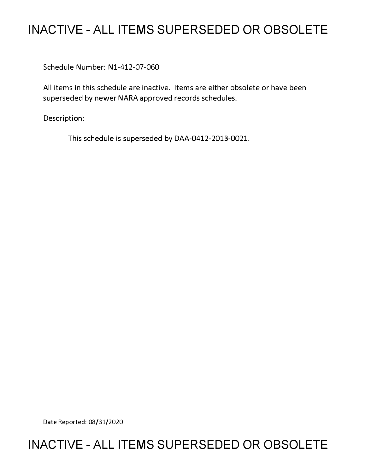# **INACTIVE - ALL ITEMS SUPERSEDED OR OBSOLETE**

Schedule Number: Nl-412-07-060

All items in this schedule are inactive. Items are either obsolete or have been superseded by newer NARA approved records schedules.

Description:

This schedule is superseded by DAA-0412-2013-0021.

Date Reported: 08/31/2020

# **INACTIVE - ALL ITEMS SUPERSEDED OR OBSOLETE**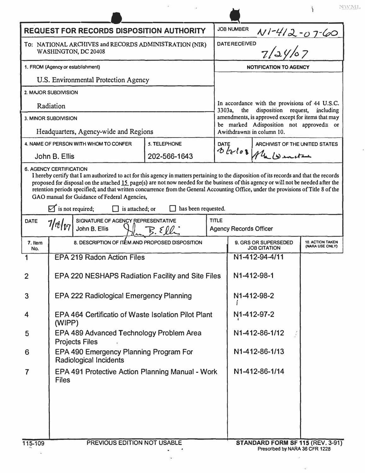| <b>JOB NUMBER</b><br><b>REQUEST FOR RECORDS DISPOSITION AUTHORITY</b><br><u>NI-412-07-60</u><br>7/24/07<br><b>DATE RECEIVED</b><br>To: NATIONAL ARCHIVES and RECORDS ADMINISTRATION (NIR)<br>WASHINGTON, DC 20408<br>1. FROM (Agency or establishment)<br><b>NOTIFICATION TO AGENCY</b><br>U.S. Environmental Protection Agency<br>2. MAJOR SUBDIVISION<br>Radiation<br>disposition request,<br>3303a<br>the<br>3. MINOR SUBDIVISION<br>Headquarters, Agency-wide and Regions<br>Awithdrawn≅ in column 10.<br>5. TELEPHONE<br>4. NAME OF PERSON WITH WHOM TO CONFER<br>ARCHIVIST OF THE UNITED STATES<br><b>DATE</b><br>Oblos Ma Wards<br>202-566-1643<br>John B. Ellis<br><b>6. AGENCY CERTIFICATION</b><br>I hereby certify that I am authorized to act for this agency in matters pertaining to the disposition of its records and that the records<br>proposed for disposal on the attached 15 page(s) are not now needed for the business of this agency or will not be needed after the<br>retention periods specified; and that written concurrence from the General Accounting Office, under the provisions of Title 8 of the<br>GAO manual for Guidance of Federal Agencies,<br>$\triangleright$ is not required;<br>is attached; or<br>has been requested.<br>SIGNATURE OF AGENCY REPRESENTATIVE<br><b>TITLE</b><br><b>DATE</b><br>7/18/pr<br>John B. Ellis<br><b>Agency Records Officer</b><br>8. DESCRIPTION OF ITEM AND PROPOSED DISPOSITION<br>9. GRS OR SUPERSEDED<br>7. Item<br><b>JOB CITATION</b><br>No.<br><b>EPA 219 Radon Action Files</b><br>N1-412-94-4/11<br>N1-412-98-1<br>EPA 220 NESHAPS Radiation Facility and Site Files<br>$\overline{2}$<br>N1-412-98-2<br><b>EPA 222 Radiological Emergency Planning</b><br>3<br>EPA 464 Certificatio of Waste Isolation Pilot Plant<br>N1-412-97-2<br>4<br>(WIPP)<br>EPA 489 Advanced Technology Problem Area<br>N1-412-86-1/12<br>5<br><b>Projects Files</b><br>EPA 490 Emergency Planning Program For<br>N1-412-86-1/13<br>6<br><b>Radiological Incidents</b><br>N1-412-86-1/14<br>EPA 491 Protective Action Planning Manual - Work<br>$\overline{7}$<br><b>Files</b> |  |  |  |  |                                                                                                                                                             |  | <b>NAVAIL</b> |  |
|------------------------------------------------------------------------------------------------------------------------------------------------------------------------------------------------------------------------------------------------------------------------------------------------------------------------------------------------------------------------------------------------------------------------------------------------------------------------------------------------------------------------------------------------------------------------------------------------------------------------------------------------------------------------------------------------------------------------------------------------------------------------------------------------------------------------------------------------------------------------------------------------------------------------------------------------------------------------------------------------------------------------------------------------------------------------------------------------------------------------------------------------------------------------------------------------------------------------------------------------------------------------------------------------------------------------------------------------------------------------------------------------------------------------------------------------------------------------------------------------------------------------------------------------------------------------------------------------------------------------------------------------------------------------------------------------------------------------------------------------------------------------------------------------------------------------------------------------------------------------------------------------------------------------------------------------------------------------------------------------------------------------------------------------------------------------------------------------------------------------------------------|--|--|--|--|-------------------------------------------------------------------------------------------------------------------------------------------------------------|--|---------------|--|
|                                                                                                                                                                                                                                                                                                                                                                                                                                                                                                                                                                                                                                                                                                                                                                                                                                                                                                                                                                                                                                                                                                                                                                                                                                                                                                                                                                                                                                                                                                                                                                                                                                                                                                                                                                                                                                                                                                                                                                                                                                                                                                                                          |  |  |  |  |                                                                                                                                                             |  |               |  |
|                                                                                                                                                                                                                                                                                                                                                                                                                                                                                                                                                                                                                                                                                                                                                                                                                                                                                                                                                                                                                                                                                                                                                                                                                                                                                                                                                                                                                                                                                                                                                                                                                                                                                                                                                                                                                                                                                                                                                                                                                                                                                                                                          |  |  |  |  |                                                                                                                                                             |  |               |  |
|                                                                                                                                                                                                                                                                                                                                                                                                                                                                                                                                                                                                                                                                                                                                                                                                                                                                                                                                                                                                                                                                                                                                                                                                                                                                                                                                                                                                                                                                                                                                                                                                                                                                                                                                                                                                                                                                                                                                                                                                                                                                                                                                          |  |  |  |  |                                                                                                                                                             |  |               |  |
|                                                                                                                                                                                                                                                                                                                                                                                                                                                                                                                                                                                                                                                                                                                                                                                                                                                                                                                                                                                                                                                                                                                                                                                                                                                                                                                                                                                                                                                                                                                                                                                                                                                                                                                                                                                                                                                                                                                                                                                                                                                                                                                                          |  |  |  |  |                                                                                                                                                             |  |               |  |
|                                                                                                                                                                                                                                                                                                                                                                                                                                                                                                                                                                                                                                                                                                                                                                                                                                                                                                                                                                                                                                                                                                                                                                                                                                                                                                                                                                                                                                                                                                                                                                                                                                                                                                                                                                                                                                                                                                                                                                                                                                                                                                                                          |  |  |  |  | In accordance with the provisions of 44 U.S.C.<br>including<br>amendments, is approved except for items that may<br>be marked Adisposition not approved gor |  |               |  |
|                                                                                                                                                                                                                                                                                                                                                                                                                                                                                                                                                                                                                                                                                                                                                                                                                                                                                                                                                                                                                                                                                                                                                                                                                                                                                                                                                                                                                                                                                                                                                                                                                                                                                                                                                                                                                                                                                                                                                                                                                                                                                                                                          |  |  |  |  |                                                                                                                                                             |  |               |  |
|                                                                                                                                                                                                                                                                                                                                                                                                                                                                                                                                                                                                                                                                                                                                                                                                                                                                                                                                                                                                                                                                                                                                                                                                                                                                                                                                                                                                                                                                                                                                                                                                                                                                                                                                                                                                                                                                                                                                                                                                                                                                                                                                          |  |  |  |  |                                                                                                                                                             |  |               |  |
|                                                                                                                                                                                                                                                                                                                                                                                                                                                                                                                                                                                                                                                                                                                                                                                                                                                                                                                                                                                                                                                                                                                                                                                                                                                                                                                                                                                                                                                                                                                                                                                                                                                                                                                                                                                                                                                                                                                                                                                                                                                                                                                                          |  |  |  |  |                                                                                                                                                             |  |               |  |
|                                                                                                                                                                                                                                                                                                                                                                                                                                                                                                                                                                                                                                                                                                                                                                                                                                                                                                                                                                                                                                                                                                                                                                                                                                                                                                                                                                                                                                                                                                                                                                                                                                                                                                                                                                                                                                                                                                                                                                                                                                                                                                                                          |  |  |  |  |                                                                                                                                                             |  |               |  |
|                                                                                                                                                                                                                                                                                                                                                                                                                                                                                                                                                                                                                                                                                                                                                                                                                                                                                                                                                                                                                                                                                                                                                                                                                                                                                                                                                                                                                                                                                                                                                                                                                                                                                                                                                                                                                                                                                                                                                                                                                                                                                                                                          |  |  |  |  |                                                                                                                                                             |  |               |  |
|                                                                                                                                                                                                                                                                                                                                                                                                                                                                                                                                                                                                                                                                                                                                                                                                                                                                                                                                                                                                                                                                                                                                                                                                                                                                                                                                                                                                                                                                                                                                                                                                                                                                                                                                                                                                                                                                                                                                                                                                                                                                                                                                          |  |  |  |  |                                                                                                                                                             |  |               |  |
|                                                                                                                                                                                                                                                                                                                                                                                                                                                                                                                                                                                                                                                                                                                                                                                                                                                                                                                                                                                                                                                                                                                                                                                                                                                                                                                                                                                                                                                                                                                                                                                                                                                                                                                                                                                                                                                                                                                                                                                                                                                                                                                                          |  |  |  |  | <b>10. ACTION TAKEN</b><br>(NARA USE ONLY)                                                                                                                  |  |               |  |
|                                                                                                                                                                                                                                                                                                                                                                                                                                                                                                                                                                                                                                                                                                                                                                                                                                                                                                                                                                                                                                                                                                                                                                                                                                                                                                                                                                                                                                                                                                                                                                                                                                                                                                                                                                                                                                                                                                                                                                                                                                                                                                                                          |  |  |  |  |                                                                                                                                                             |  |               |  |
|                                                                                                                                                                                                                                                                                                                                                                                                                                                                                                                                                                                                                                                                                                                                                                                                                                                                                                                                                                                                                                                                                                                                                                                                                                                                                                                                                                                                                                                                                                                                                                                                                                                                                                                                                                                                                                                                                                                                                                                                                                                                                                                                          |  |  |  |  |                                                                                                                                                             |  |               |  |
|                                                                                                                                                                                                                                                                                                                                                                                                                                                                                                                                                                                                                                                                                                                                                                                                                                                                                                                                                                                                                                                                                                                                                                                                                                                                                                                                                                                                                                                                                                                                                                                                                                                                                                                                                                                                                                                                                                                                                                                                                                                                                                                                          |  |  |  |  |                                                                                                                                                             |  |               |  |
|                                                                                                                                                                                                                                                                                                                                                                                                                                                                                                                                                                                                                                                                                                                                                                                                                                                                                                                                                                                                                                                                                                                                                                                                                                                                                                                                                                                                                                                                                                                                                                                                                                                                                                                                                                                                                                                                                                                                                                                                                                                                                                                                          |  |  |  |  |                                                                                                                                                             |  |               |  |
|                                                                                                                                                                                                                                                                                                                                                                                                                                                                                                                                                                                                                                                                                                                                                                                                                                                                                                                                                                                                                                                                                                                                                                                                                                                                                                                                                                                                                                                                                                                                                                                                                                                                                                                                                                                                                                                                                                                                                                                                                                                                                                                                          |  |  |  |  |                                                                                                                                                             |  |               |  |
|                                                                                                                                                                                                                                                                                                                                                                                                                                                                                                                                                                                                                                                                                                                                                                                                                                                                                                                                                                                                                                                                                                                                                                                                                                                                                                                                                                                                                                                                                                                                                                                                                                                                                                                                                                                                                                                                                                                                                                                                                                                                                                                                          |  |  |  |  |                                                                                                                                                             |  |               |  |
|                                                                                                                                                                                                                                                                                                                                                                                                                                                                                                                                                                                                                                                                                                                                                                                                                                                                                                                                                                                                                                                                                                                                                                                                                                                                                                                                                                                                                                                                                                                                                                                                                                                                                                                                                                                                                                                                                                                                                                                                                                                                                                                                          |  |  |  |  |                                                                                                                                                             |  |               |  |
|                                                                                                                                                                                                                                                                                                                                                                                                                                                                                                                                                                                                                                                                                                                                                                                                                                                                                                                                                                                                                                                                                                                                                                                                                                                                                                                                                                                                                                                                                                                                                                                                                                                                                                                                                                                                                                                                                                                                                                                                                                                                                                                                          |  |  |  |  |                                                                                                                                                             |  |               |  |

 $\tilde{\mathbf{a}}$ 

i.

 $\hat{\mathbf{x}}$ 

à.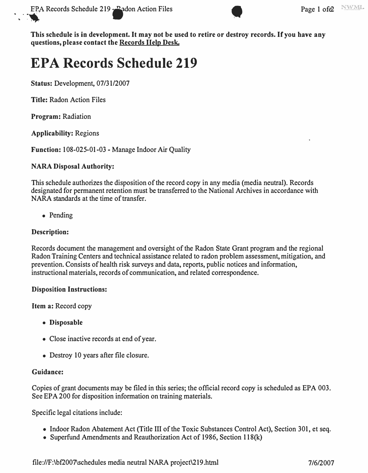

# **EPA Records Schedule 219**

**Status: Development, 07/31/2007** 

**Title:** Radon Action Files

**Program:** Radiation

**Applicability:** Regions

**Function:** 108-025-01-03 - Manage Indoor Air Quality

# **NARA Disposal Authority:**

This schedule authorizes the disposition of the record copy in any media (media neutral). Records designated for permanent retention must be transferred to the National Archives in accordance with NARA standards at the time of transfer.

• Pending

# **Description:**

Records document the management and oversight of the Radon State Grant program and the regional Radon Training Centers and technical assistance related to radon problem assessment, mitigation, and prevention. Consists of health risk surveys and data, reports, public notices and information, instructional materials, records of communication, and related correspondence.

# **Disposition Instructions:**

**Item a:** Record copy

- **Disposable**
- Close inactive records at end of year.
- Destroy 10 years after file closure.

# **Guidance:**

Copies of grant documents may be filed in this series; the official record copy is scheduled as EPA 003. See EPA 200 for disposition information on training materials.

Specific legal citations include:

- Indoor Radon Abatement Act (Title III of the Toxic Substances Control Act), Section 301, et seq.
- Superfund Amendments and Reauthorization Act of 1986, Section l 18(k)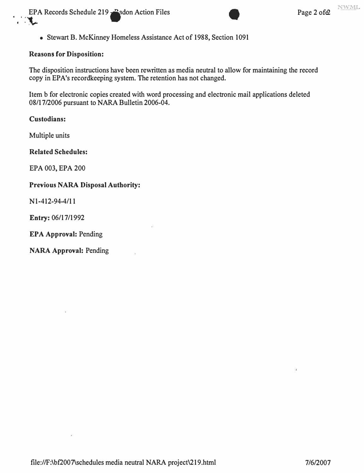EPA Records Schedule 219 • Pagon Action Files Page 2 of  $\theta$ EPA Records Schedule 219



• Stewart B. McKinney Homeless Assistance Act of 1988, Section 1091

#### **Reasons for Disposition:**

The disposition instructions have been rewritten as media neutral to allow for maintaining the record copy in EPA's recordkeeping system. The retention has not changed.

Item b for electronic copies created with word processing and electronic mail applications deleted 08/17/2006 pursuant to NARA Bulletin 2006-04.

#### **Custodians:**

Multiple units

**Related Schedules:** 

EPA 003, EPA 200

#### **Previous NARA Disposal Authority:**

Nl-412-94-4/11

Entry: 06/17/1992

**EPA Approval:** Pending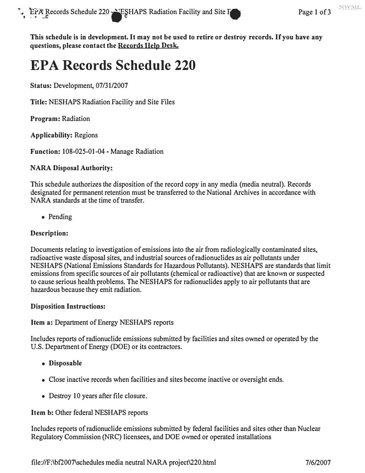# **EPA Records Schedule 220**

**Status: Development, 07/31/2007** 

**Title: NESHAPS Radiation Facility and Site Files** 

**Program: Radiation** 

**Applicability: Regions** 

**Function: 108-025-01-04 - Manage Radiation** 

# **NARA Disposal Authority:**

**This schedule authorizes the disposition of the record copy in any media (media neutral). Records designated for permanent retention must be transferred to the National Archives in accordance with NARA standards at the time of transfer.** 

**• Pending** 

# **Description:**

Documents relating to investigation of emissions into the air from radiologically contaminated sites, **radioactive waste disposal sites, and industrial sources of radionuclides as air pollutants under**  NESHAPS (National Emissions Standards for Hazardous Pollutants). NESHAPS are standards that limit **emissions from specific sources of air pollutants ( chemical or radioactive) that are known or suspected to cause serious health problems. The NESHAPS for radionuclides apply to air pollutants that are**  hazardous because they emit radiation.

# **Disposition Instructions:**

# **Item a: Department of Energy NESHAPS reports**

**Includes reports of radionuclide emissions submitted by facilities and sites owned or operated by the U.S. Department of Energy (DOE) or its contractors.** 

- **Disposable**
- **Close inactive records when facilities and sites become inactive or oversight ends.**
- **Destroy 10 years after file closure.**

# **Item b: Other federal NESHAPS reports**

**Includes reports of radionuclide emissions submitted by federal facilities and sites other than Nuclear Regulatory Commission (NRC) licensees, and DOE owned or operated installations**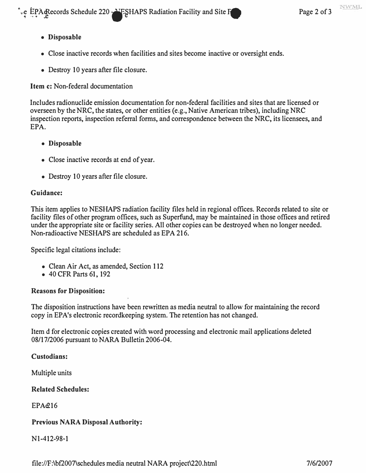**e EPA Records Schedule 220 MPSHAPS Radiation Facility and Site <b>For all and Site Page 2 of 3** 

# **• Disposable**

- **Close inactive records when facilities and sites become inactive or oversight ends.**
- **Destroy 10 years after file closure.**

**Item c: Non-federal documentation** 

**Includes radionuclide emission documentation for non-federal facilities and sites that are licensed or overseen by the NRC, the states, or other entities (e.g., Native American tribes), including NRC inspection reports, inspection referral forms, and correspondence between the NRC, its licensees, and EPA.** 

- **Disposable**
- **Close inactive records at end of year.**
- **Destroy 10 years after file closure.**

# **Guidance:**

**This item applies to NESHAPS radiation facility files held in regional offices. Records related to site or facility files of other program offices, such as Superfund, may be maintained in those offices and retired under the appropriate site or facility series. All other copies can be destroyed when no longer needed. Non-radioactive NESHAPS are scheduled as EPA 216.** 

**Specific legal citations include:** 

- **Clean Air Act, as amended, Section 112**
- **40 CFR Parts 61, 192**

# **Reasons for Disposition:**

**The disposition instructions have been rewritten as media neutral to allow for maintaining the record copy in EPA's electronic recordkeeping system. The retention has not changed.** 

**Item d for electronic copies created with word processing and electronic mail applications deleted 08/17/2006 pursuant to NARA Bulletin 2006-04.** 

**Custodians:** 

**Multiple units** 

**Related Schedules:** 

**EPAe216** 

# **Previous NARA Disposal Authority:**

**Nl-412-98-1**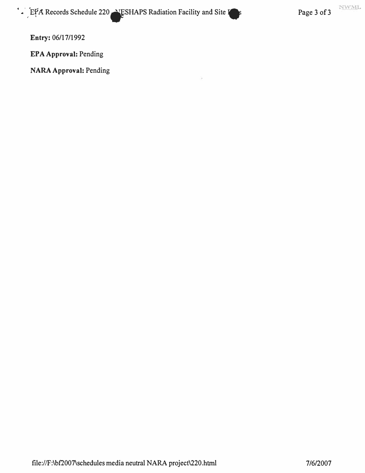**Entry: 06/17/1992** 

**EPA Approval: Pending**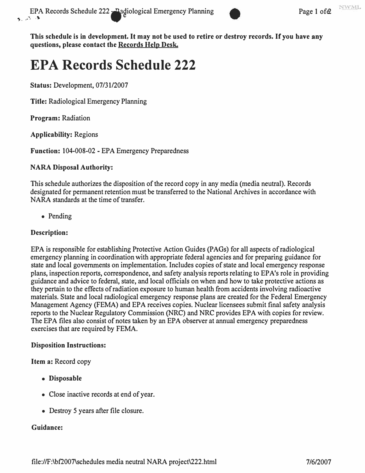

# **EPA Records Schedule 222**

**Status: Development, 07/31/2007** 

**Title: Radiological Emergency Planning** 

**Program: Radiation** 

**Applicability: Regions** 

**Function: 104-008-02 - EPA Emergency Preparedness** 

# **NARA Disposal Authority:**

**This schedule authorizes the disposition of the record copy in any media (media neutral). Records designated for permanent retention must be transferred to the National Archives in accordance with NARA standards at the time of transfer.** 

**• Pending** 

# **Description:**

**EPA is responsible for establishing Protective Action Guides (PAGs) for all aspects of radiological emergency planning in coordination with appropriate federal agencies and for preparing guidance for state and local governments on implementation. Includes copies of state and local emergency response plans, inspection reports, correspondence, and safety analysis reports relating to EP A's role in providing guidance and advice to federal, state, and local officials on when and how to take protective actions as they pertain to the effects of radiation exposure to human health from accidents involving radioactive materials. State and local radiological emergency response plans are created for the Federal Emergency Management Agency (FEMA) and EPA receives copies. Nuclear licensees submit final safety analysis reports to the Nuclear Regulatory Commission (NRC) and NRC provides EPA with copies for review. The EPA files also consist of notes taken by an EPA observer at annual emergency preparedness exercises that are required by FEMA.** 

# **Disposition Instructions:**

**Item a: Record copy** 

- **Disposable**
- **Close inactive records at end of year.**
- **Destroy 5 years after file closure.**

# **Guidance:**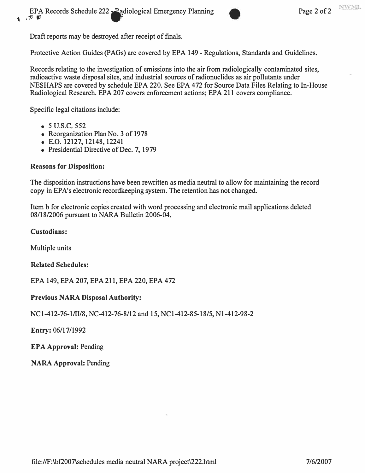Draft reports may be destroyed after receipt of finals.

Protective Action Guides (PAGs) are covered by EPA 149 - Regulations, Standards and Guidelines.

Records relating to the investigation of emissions into the air from radiologically contaminated sites, radioactive waste disposal sites, and industrial sources of radionuclides as air pollutants under NESHAPS are covered by schedule EPA 220. See EPA 472 for Source Data Files Relating to In-House Radiological Research. EPA 207 covers enforcement actions; EPA 211 covers compliance.

Specific legal citations include:

- *5* **u.s.c.** 552
- Reorganization Plan No. 3 of 1978
- E.O. 12127, 12148, 12241
- Presidential Directive of Dec. 7, 1979

# **Reasons for Disposition:**

The disposition instructions have been rewritten as media neutral to allow for maintaining the record copy in EPA's electronic recordkeeping system. The retention has not changed.

Item b for electronic copies created with word processing and electronic mail applications deleted 08/18/2006 pursuant to NARA Bulletin 2006-04.

# **Custodians:**

Multiple units

#### **Related Schedules:**

EPA 149, EPA 207, EPA 211, EPA 220, EPA 472

# **Previous NARA Disposal Authority:**

NCl-412-76-1/II/8, NC-412-76-8/12 and 15, NCl-412-85-18/5, Nl-412-98-2

**Entry:** 06/17/1992

**EPA Approval:** Pending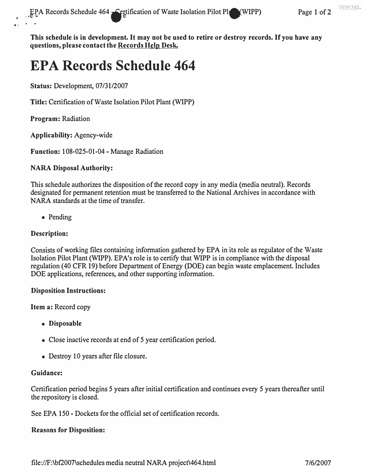# **EPA Records Schedule 464**

**Status:** Development, 07/31/2007

**Title:** Certification of Waste Isolation Pilot Plant (WIPP)

**Program:** Radiation

..

**Applicability:** Agency-wide

**Function:** 108-025-01-04 - Manage Radiation

# **NARA Disposal Authority:**

This schedule authorizes the disposition of the record copy in any media (media neutral). Records designated for permanent retention must be transferred to the National Archives in accordance with NARA standards at the time of transfer.

• Pending

# **Desc�iption:**

Consists of working files containing information gathered by EPA in its role as regulator of the Waste Isolation Pilot Plant (WIPP). EP A's role is to certify that WIPP is in compliance with the disposal regulation (40 CFR 19) before Department of Energy (DOE) can begin waste emplacement. Includes DOE applications, references, and other supporting information.

#### **Disposition Instructions:**

**Item a:** Record copy

- **Disposable**
- Close inactive records at end of 5 year certification period.
- Destroy 10 years after file closure.

# **Guidance:**

Certification period begins 5 years after initial certification and continues every 5 years thereafter until the repository is closed.

See EPA 150 - Dockets for the official set of certification records.

# **Reasons for Disposition:**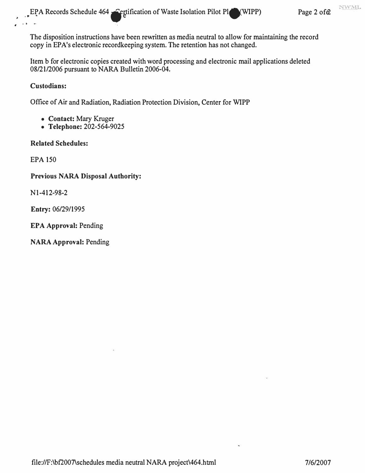**The disposition instructions have been rewritten as media neutral to allow for maintaining the record copy in EP A's electronic recordkeeping system. The retention has not changed.** 

**Item b for electronic copies created with word processing and electronic mail applications deleted 08/21/2006 pursuant to NARA Bulletin 2006-04.** 

# **Custodians:**

� . " ....

**Office of Air and Radiation, Radiation Protection Division, Center for WIPP** 

- **Contact: Mary Kruger**
- **Telephone: 202-564-9025**

# **Related Schedules:**

**EPA 150** 

# **Previous NARA Disposal Authority:**

**Nl-412-98-2** 

**Entry: 06/29/1995** 

**EPA Approval: Pending**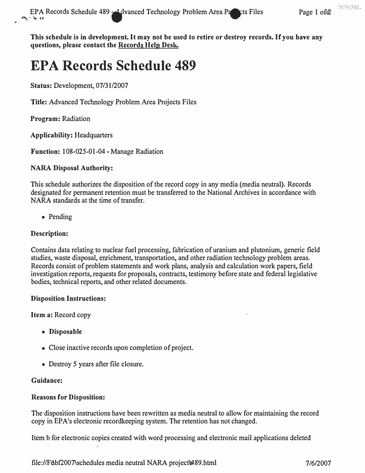# **EPA Records Schedule 489**

**Status:** Development, 07/31/2007

**Title:** Advanced Technology Problem Area Projects Files

**Program:** Radiation

**Applicability:** Headquarters

**Function:** 108-025-01-04 - Manage Radiation

# **NARA Disposal Authority:**

This schedule authorizes the disposition of the record copy in any media (media neutral). Records designated for permanent retention must be transferred to the National Archives in accordance with NARA standards at the time of transfer.

• Pending

# **Description:**

Contains data relating to nuclear fuel processing, fabrication of uranium and plutonium, generic field studies, waste disposal, enrichment, transportation, and other radiation technology problem areas. Records consist of problem statements and work plans, analysis and calculation work papers, field investigation reports, requests for proposals, contracts, testimony before state and federal legislative bodies, technical reports, and other related documents.

# **Disposition Instructions:**

**Item a:** Record copy

- **Disposable**
- Close inactive records upon completion of project.
- Destroy 5 years after file closure.

# **Guidance:**

# **Reasons for Disposition:**

The disposition instructions have been rewritten as media neutral to allow for maintaining the record copy in EP A's electronic recordkeeping system. The retention has not changed.

Item b for electronic copies created with word processing and electronic mail applications deleted

<file://F>elbf2007\schedules media neutral NARA project\e489.html 7/6/2007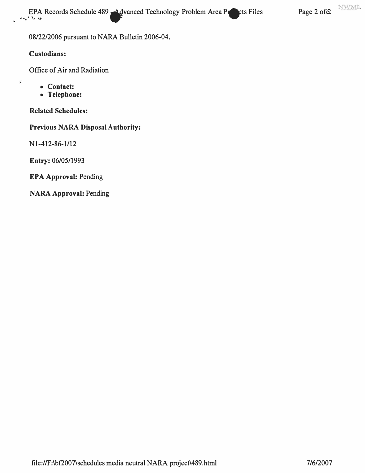EPA Records Schedule 489 **... A divanced Technology Problem Area Properties** Page 2 ofe2 **Page 2 of** 

**08/22/2006 pursuant to NARA Bulletin 2006-04.** 

**Custodians:** 

**Office of Air and Radiation** 

- **Contact:**
- **Telephone:**

**Related Schedules:** 

**Previous NARA Disposal Authority:** 

**N l-412-86-1/12** 

**Entry: 06/05/1993** 

**EPA Approval: Pending**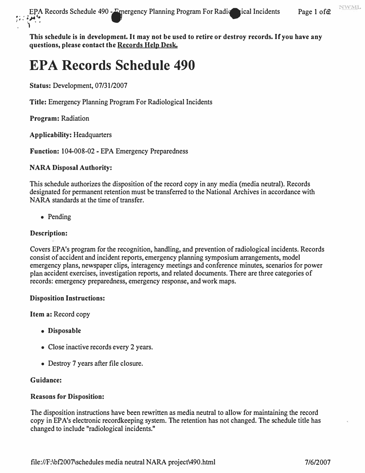# **EPA Records Schedule 490**

**Status: Development, 07/31/2007** 

**Title: Emergency Planning Program For Radiological Incidents** 

**Program: Radiation** 

**Applicability: Headquarters** 

**Function: 104-008-02 - EPA Emergency Preparedness** 

# **NARA Disposal Authority:**

**This schedule authorizes the disposition of the record copy in any media (media neutral). Records designated for permanent retention must be transferred to the National Archives in accordance with NARA standards at the time of transfer.** 

**• Pending** 

# **Description:**

**Covers EPA's program for the recognition, handling, and prevention of radiological incidents. Records consist of accident and incident reports, emergency planning symposiwn arrangements, model emergency plans, newspaper clips, interagency meetings and conference minutes, scenarios for power plan accident exercises, investigation reports, and related docwnents. There are three categories of records: emergency preparedness, emergency response, and work maps.** 

# **Disposition Instructions:**

**Item a: Record copy** 

- **Disposable**
- **Close inactive records every 2 years.**
- **Destroy 7 years after file closure.**

# **Guidance:**

# **Reasons for Disposition:**

**The disposition instructions have been rewritten as media neutral to allow for maintaining the record copy in EP A's electronic recordkeeping system. The retention has not changed. The schedule title has changed to include "radiological incidents."**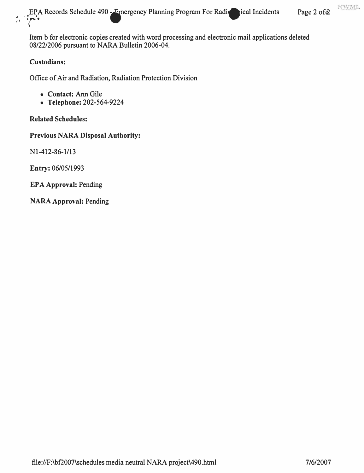NWML **•. EPA Records Schedule 490 - Emergency Planning Program For Radic ical Incidents Page 2 ofe2**  $\begin{matrix} \mathcal{F} & \mathcal{F} \\ \mathcal{F} & \mathcal{F} \end{matrix}$ ., •

**Item b for electronic copies created with word processing and electronic mail applications deleted 08/22/2006 pursuant to NARA Bulletin 2006-04.** 

#### **Custodians:**

**Office of Air and Radiation, Radiation Protection Division** 

- **Contact: Ann Gile**
- **Telephone: 202-564-9224**

**Related Schedules:** 

**Previous NARA Disposal Authority:** 

**Nl-412-86-1/13** 

**Entry: 06/05/1993** 

**EPA Approval: Pending**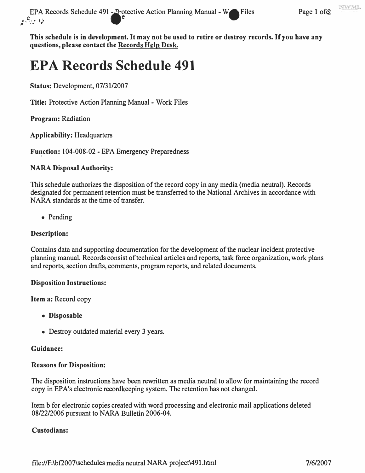# **EPA Records Schedule 491**

**Status: Development, 07/31/2007** 

**Title: Protective Action Planning Manual - Work Files** 

**Program: Radiation** 

**Applicability: Headquarters** 

**Fu�ction: 104-008-02 - EPA Emergency Preparedness** 

# **NARA Disposal Authority:**

**This schedule authorizes the disposition of the record copy in any media (media neutral). Records designated for permanent retention must be transferred to the National Archives in accordance with NARA standards at the time of transfer.** 

**• Pending** 

# **Description:**

**Contains data and supporting documentation for the development of the nuclear incident protective planning manual. Records consist of technical articles and reports, task force organization, work plans and reports, section drafts, comments, program reports, and related documents.** 

# **Disposition Instructions:**

**Item a: Record copy** 

- **Disposable**
- **Destroy outdated material every 3 years.**

# **Guidance:**

# **Reasons for Disposition:**

**The disposition instructions have been rewritten as media neutral to allow for maintaining the record copy in EPA's electronic recordkeeping system. The retention has not changed.** 

**Item b for electronic copies created with word processing and electronic mail applications deleted 08/22/2006 pursuant to NARA Bulletin 2006-04.** 

# **Custodians:**